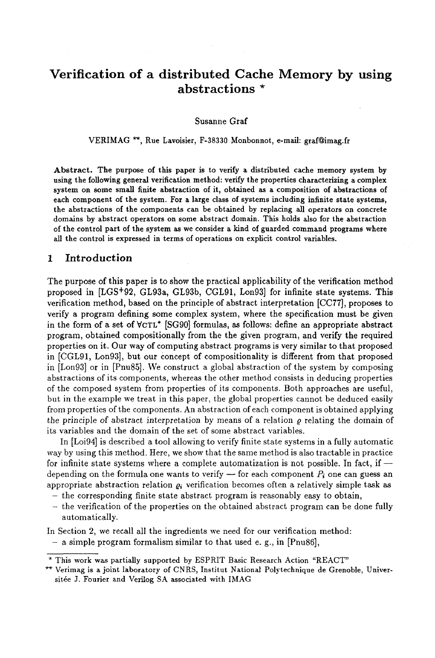# **Verification of a distributed Cache Memory by using abstractions \***

Susanne Graf

VERIMAG \*\*, Rue Lavoisier, F-38330 Monbonnot, e-mail: graf@imag.fr

**Abstract.** The purpose of this paper is to verify a distributed cache memory system **by**  using the following general verification method: verify the properties characterizing a complex system on some small finite abstraction of it, obtained as a composition of abstractions **of**  each component of the system. For a large class of systems including infinite state systems, the abstractions of the components can be obtained by replacing all operators on concrete domains by abstract operators on some abstract domain. This holds also for the abstraction of the control part of the system as we consider a kind of guarded command programs where all the control is expressed in terms of operations on explicit control variables.

# 1 Introduction

The purpose of this paper is to show the practical applicability of the verification method proposed in [LGS+92, GL93a, GL93b, CGL91, Lon93] for infinite state systems. This verification method, based on the principle of abstract interpretation [CC77], proposes to verify a program defining some complex system, where the specification must be given in the form of a set of VCTL\* [SG90] formulas, as follows: define an appropriate abstract program, obtained compositionally from the the given program, and verify the required properties on it. Our way of computing abstract programs is very similar to that proposed in [CGL91, Lon93], but our Concept of compositionality is different from that proposed in [Lon93] or in [Pnu85]. We construct a global abstraction of the system by composing abstractions of its components, whereas the other method consists in deducing properties of the composed system from properties of its components. Both approaches are useful, but in the example we treat in this paper, the global properties cannot be deduced easily from properties of the components. An abstraction of each component is obtained applying the principle of abstract interpretation by means of a relation  $\rho$  relating the domain of its variables and the domain of the set of some abstract variables.

In [Loi94] is described a tool allowing to verify finite state systems in a fully automatic way by using this method. Here, we show that the same method is also tractable in practice for infinite state systems where a complete automatization is not possible. In fact, if  $$ depending on the formula one wants to verify  $-$  for each component  $P_i$  one can guess an appropriate abstraction relation  $\varrho_i$  verification becomes often a relatively simple task as

- the corresponding finite state abstract program is reasonably easy to obtain,
- the verification of the properties on the obtained abstract program can be done fully automatically.

In Section 2, we recall all the ingredients we need for our verification method:

 $-$  a simple program formalism similar to that used e. g., in [Pnu86],

<sup>\*</sup> This work was partially supported by ESPRIT Basic Research Action "REACT"

<sup>\*\*</sup> Verimag is a joint laboratory of CNRS, Institut National Polytechnique de Grenoble, Universitée J. Fourier and Verilog SA associated with IMAG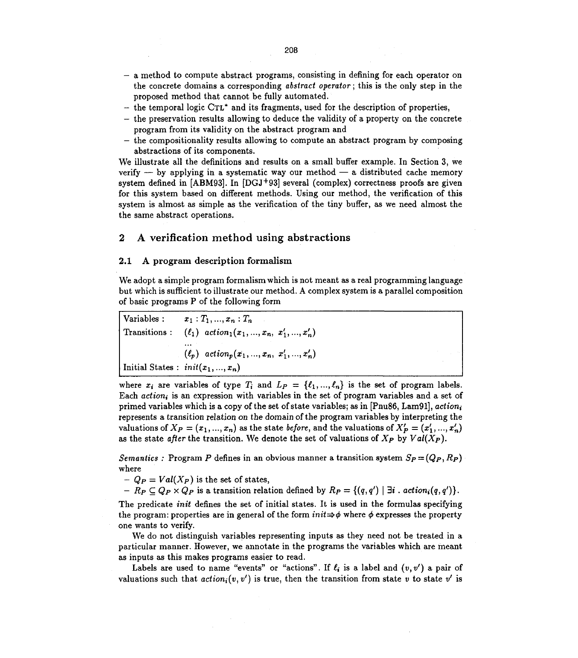- a method to compute abstract programs, consisting in defining for each operator on the concrete domains a corresponding *abstract operator* ; this is the only step in the proposed method that cannot be fully automated.
- $-$  the temporal logic CTL<sup>\*</sup> and its fragments, used for the description of properties,
- the preservation results allowing to deduce the validity of a property on the concrete program from its validity on the abstract program and
- the compositionality results allowing to compute an abstract program by composing abstractions of its components.

We illustrate all the definitions and results on a small buffer example. In Section 3, we verify  $-$  by applying in a systematic way our method  $-$  a distributed cache memory system defined in [ABM93]. In [DGJ+93] several (complex) correctness proofs are given for this system based on different methods. Using our method, the verification of this system is almost as simple as the verification of the tiny buffer, as we need almost the the same abstract operations.

# 2 A verification method using abstractions

### 2.1 A program description formalism

We adopt a simple program formalism which is not meant as a real programming language but which is sufficient to illustrate our method. A complex system is a parallel composition of basic programs P of the following form

Variables :  $x_1 : T_1, ..., x_n : T_n$ Transitions:  $(\ell_1)$   $action_1(x_1,...,x_n, x'_1,...,x'_n)$  $(\ell_p)$  action<sub>p</sub> $(x_1,...,x_n, x'_1,...,x'_n)$ Initial States :  $init(x_1, ..., x_n)$ 

where  $x_i$  are variables of type  $T_i$  and  $L_p = \{\ell_1, ..., \ell_n\}$  is the set of program labels. Each *action*, is an expression with variables in the set of program variables and a set of primed variables which is a copy of the set of state variables; as in [Pnu86, Lam91], *actioni*  represents a transition relation on the domain of the program variables by interpreting the valuations of  $X_p = (x_1, ..., x_n)$  as the state *before*, and the valuations of  $X'_p = (x'_1, ..., x'_n)$ as the state *after* the transition. We denote the set of valuations of  $X_P$  by  $Val(X_P)$ .

*Semantics : Program P defines in an obvious manner a transition system*  $S_P = (Q_P, R_P)$ where

-  $Q_P = Val(X_P)$  is the set of states,

*- R<sub>P</sub>*  $\subseteq$  *Q<sub>P</sub>*  $\times$  *Q<sub>P</sub>* is a transition relation defined by *R<sub>P</sub>* = {(*q, q'*) |  $\exists i$  *action<sub>i</sub>*(*q, q'*)}.

The predicate *init* defines the set of initial states. It is used in the formulas specifying the program: properties are in general of the form  $init \Rightarrow \phi$  where  $\phi$  expresses the property one wants to verify.

We do not distinguish variables representing inputs as they need not be treated in a particular manner. However, we annotate in the programs the variables which are meant as inputs as this makes programs easier to read.

Labels are used to name "events" or "actions". If  $\ell_i$  is a label and  $(v, v')$  a pair of valuations such that  $action_i(v, v')$  is true, then the transition from state v to state v' is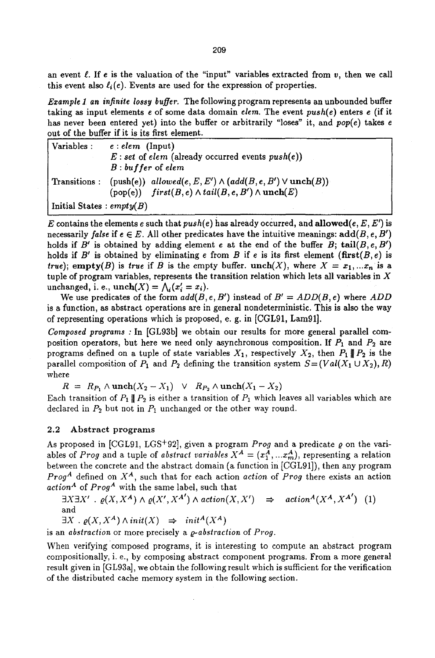an event  $\ell$ . If e is the valuation of the "input" variables extracted from  $v$ , then we call this event also  $\ell_i(e)$ . Events are used for the expression of properties.

*Example I an infinite lossy buffer.* The following program represents an unbounded buffer taking as input elements e of some data domain *clam.* The event *push(e)* enters e (if it has never been entered yet) into the buffer or arbitrarily "loses" it, and *pop(e)* takes e out of the buffer if it is its first element.

| Variables :                  | $e:$ elem (Input)<br>$E$ : set of elem (already occurred events $push(e)$ )<br>$B:$ buffer of elem                                                        |  |
|------------------------------|-----------------------------------------------------------------------------------------------------------------------------------------------------------|--|
|                              | Transitions: (push(e)) allowed(e, E, E') $\wedge$ (add(B, e, B') $\vee$ unch(B))<br>$(pop(e))$ first $(B, e) \wedge tail(B, e, B') \wedge \text{unch}(E)$ |  |
| Initial States : empty $(B)$ |                                                                                                                                                           |  |

E contains the elements e such that  $push(e)$  has already occurred, and allowed $(e, E, E')$  is necessarily *false* if  $e \in E$ . All other predicates have the intuitive meanings:  $add(B, e, B')$ holds if B' is obtained by adding element e at the end of the buffer B; tail $(B, e, B')$ holds if  $B'$  is obtained by eliminating e from  $B$  if e is its first element (first( $B, e$ ) is *true*); **empty**(B) is *true* if B is the empty buffer,  $\text{unch}(X)$ , where  $X = x_1, ..., x_n$  is a tuple of program variables, represents the transition relation which lets all variables in  $X$ unchanged, i. e.,  $\text{unch}(X) = \bigwedge_i (x'_i = x_i).$ 

We use predicates of the form  $add(B, e, B')$  instead of  $B' = ADD(B, e)$  where  $ADD$ is a function, as abstract operations are in general nondeterministic. This is also the way of representing operations which is proposed, e. g. in [CGL91, Lam91].

*Composed programs :* In [GL93b] we obtain our results for more general parallel composition operators, but here we need only asynchronous composition. If  $P_1$  and  $P_2$  are programs defined on a tuple of state variables  $X_1$ , respectively  $X_2$ , then  $P_1 \parallel P_2$  is the parallel composition of  $P_1$  and  $P_2$  defining the transition system  $S = (Val(X_1 \cup X_2), R)$ where

 $R = R_{P_1} \wedge \text{unch}(X_2 - X_1) \quad \vee \quad R_{P_2} \wedge \text{unch}(X_1 - X_2)$ 

Each transition of  $P_1 \parallel P_2$  is either a transition of  $P_1$  which leaves all variables which are declared in  $P_2$  but not in  $P_1$  unchanged or the other way round.

### 2.2 Abstract programs

As proposed in [CGL91, LGS<sup>+</sup>92], given a program *Prog* and a predicate  $\varrho$  on the variables of *Prog* and a tuple of *abstract variables*  $X^A = (x_1^A, ... x_m^A)$ , representing a relation between the concrete and the abstract domain (a function in [CGL91]), then any program *Prog A* defined on *X A,* such that for each action *action* of *Prog* there exists an action  $action<sup>A</sup>$  of  $Prog<sup>A</sup>$  with the same label, such that

 $\exists X \exists X' \cdot \varrho(X, X^{\mathcal{A}}) \wedge \varrho(X', X^{\mathcal{A}'}) \wedge action(X, X') \Rightarrow action^{\mathcal{A}}(X^{\mathcal{A}}, X^{\mathcal{A}'})$  (1) and

 $\exists X \cdot \varrho(X, X^A) \wedge init(X) \Rightarrow init^A(X^A)$ 

is an *abstraction* or more precisely a  $\rho$ *-abstraction* of *Prog.* 

When verifying composed programs, it is interesting to compute an abstract program compositionally, i. e., by composing abstract component programs. From a more general result given in [GL93a], we obtain the following result which is sufficient for the verification of the distributed cache memory system in the following section.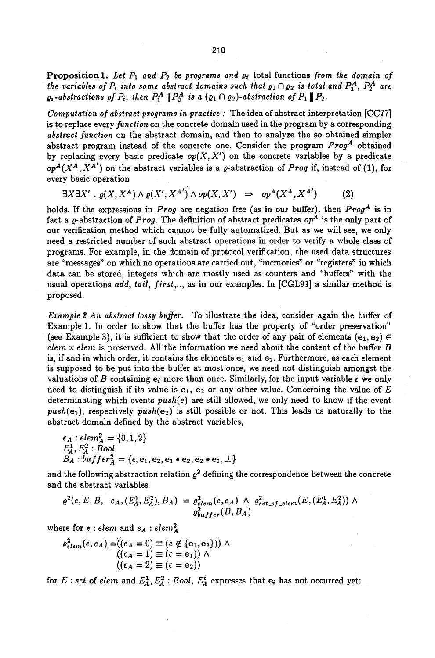**Proposition 1.** Let  $P_1$  and  $P_2$  be programs and  $\varrho_i$  total functions from the domain of *the variables of P<sub>i</sub> into some abstract domains such that*  $\varrho_1 \cap \varrho_2$  *is total and*  $P_1^A$ *,*  $P_2^A$  *are*  $\rho_i$ -abstractions of  $P_i$ , then  $P_1^A \parallel P_2^A$  is a  $(\rho_1 \cap \rho_2)$ -abstraction of  $P_1 \parallel P_2$ .

*Computation of abstract programs in practice :* The idea of abstract interpretation [CC77] is to replace every *function* on the concrete domain used in the program by a corresponding *abstract function* on the abstract domain, and then to analyze the so obtained simpler abstract program instead of the concrete one. Consider the program *Prog<sup>A</sup>* obtained by replacing every basic predicate  $op(X, X')$  on the concrete variables by a predicate  $op^A(X^A, X^{A'})$  on the abstract variables is a  $\rho$ -abstraction of *Prog* if, instead of (1), for every basic operation

$$
\exists X \exists X' \ . \ \varrho(X, X^A) \land \varrho(X', X^{A'}) \land op(X, X') \quad \Rightarrow \quad op^A(X^A, X^{A'}) \tag{2}
$$

holds. If the expressions in *Prog* are negation free (as in our buffer), then  $Prog^A$  is in fact a  $\rho$ -abstraction of *Prog.* The definition of abstract predicates  $op^A$  is the only part of our verification method which cannot be fully automatized. But as we will see, we only need a restricted number of such abstract operations in order to verify a whole class of programs. For example, in the domain of protocol verification, the used data structures are "messages" on which no operations are carried out, "memories" or "registers" in which data can be stored, integers which are mostly used as counters and "buffers" with the usual operations *add, tail, first,.., as* in our examples. In [CGL91] a similar method is proposed.

*Example 2 An abstract lossy buffer.* To illustrate the idea, consider again the buffer of Example 1. In order to show that the buffer has the property of "order preservation" (see Example 3), it is sufficient to show that the order of any pair of elements  $(e_1, e_2) \in$  $elem \times elem$  is preserved. All the information we need about the content of the buffer  $B$ is, if and in which order, it contains the elements  $e_1$  and  $e_2$ . Furthermore, as each element is supposed to be put into the buffer at most once, we need not distinguish amongst the valuations of B containing  $e_i$  more than once. Similarly, for the input variable e we only need to distinguish if its value is  $e_1$ ,  $e_2$  or any other value. Concerning the value of E determinating which events  $push(e)$  are still allowed, we only need to know if the event  $push(e_1)$ , respectively  $push(e_2)$  is still possible or not. This leads us naturally to the abstract domain defined by the abstract variables,

$$
e_A : elem_A^2 = \{0, 1, 2\}
$$
  
\n
$$
E_A^1, E_A^2 : Bool
$$
  
\n
$$
B_A : buffer_A^2 = \{\epsilon, e_1, e_2, e_1 \bullet e_2, e_2 \bullet e_1, \perp\}
$$

and the following abstraction relation  $\rho^2$  defining the correspondence between the concrete and the abstract variables

$$
\varrho^{2}(e, E, B, e_{A}, (E_{A}^{1}, E_{A}^{2}), B_{A}) = \varrho_{elem}^{2}(e, e_{A}) \wedge \varrho_{set\_of\_elem}^{2}(E, (E_{A}^{1}, E_{A}^{2})) \wedge \varrho_{buffer}^{2}(B, B_{A})
$$

where for  $e : elem$  and  $e_A : elem_A^2$ 

$$
\varrho_{elem}^2(e, e_A) = ((e_A = 0) \equiv (e \notin \{e_1, e_2\})) \land ((e_A = 1) \equiv (e = e_1)) \land ((e_A = 2) \equiv (e = e_2))
$$

for E : set of elem and  $E_A^1$ ,  $E_A^2$  : *Bool*,  $E_A^i$  expresses that  $e_i$  has not occurred yet: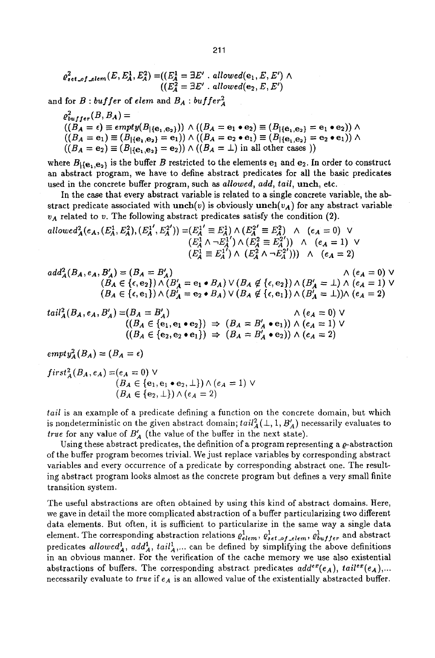$$
\varrho_{set\_of\_elem}^2(E,E_A^1,E_A^2) = ((E_A^1 = \exists E' \ . \ allowed(e_1, E, E') \land ((E_A^2 = \exists E' \ . \ allowed(e_2, E, E'))
$$

and for  $B:buffer$  of *elem* and  $B_A:buffer_A^2$ 

$$
\varrho_{buffer}^{2}(B, B_A) =
$$
\n
$$
((B_A = \epsilon) \equiv empty(B_{|\{e_1, e_2\}})) \land ((B_A = e_1 \bullet e_2) \equiv (B_{|\{e_1, e_2\}} = e_1 \bullet e_2)) \land
$$
\n
$$
((B_A = e_1) \equiv (B_{|\{e_1, e_2\}} = e_1)) \land ((B_A = e_2 \bullet e_1) \equiv (B_{|\{e_1, e_2\}} = e_2 \bullet e_1)) \land
$$
\n
$$
((B_A = e_2) \equiv (B_{|\{e_1, e_2\}} = e_2)) \land ((B_A = \bot) \text{ in all other cases}))
$$

where  $B_{\{e_1, e_2\}}$  is the buffer B restricted to the elements  $e_1$  and  $e_2$ . In order to construct an abstract program, we have to define abstract predicates for all the basic predicates used in the concrete buffer program, such as *allowed, add, tail,* unch, etc.

In the case that every abstract variable is related to a single concrete variable, the abstract predicate associated with  $\text{unch}(v)$  is obviously  $\text{unch}(v_A)$  for any abstract variable  $v_A$  related to v. The following abstract predicates satisfy the condition  $(2)$ .

*allowedi(eA, (El, E~),* (El', E~')) =(E l' = El) A (E~' = EA 2) A *(CA = O) V*  **(z] A EI') A (G -- G')) ^ = i) V**  *(El =\_ El') A (E~ A -,El'))) A (CA =* 2)

$$
add_A^2(B_A, e_A, B'_A) = (B_A = B'_A) \qquad \qquad \wedge (e_A = 0) \vee
$$
  
\n
$$
(B_A \in \{\epsilon, e_2\}) \wedge (B'_A = e_1 \cdot B_A) \vee (B_A \notin \{\epsilon, e_2\}) \wedge (B'_A = \bot) \wedge (e_A = 1) \vee
$$
  
\n
$$
(B_A \in \{\epsilon, e_1\}) \wedge (B'_A = e_2 \cdot B_A) \vee (B_A \notin \{\epsilon, e_1\}) \wedge (B'_A = \bot)) \wedge (e_A = 2)
$$

$$
tail_A^2(B_A, e_A, B'_A) = (B_A = B'_A) \qquad \qquad \wedge (e_A = 0) \vee ((B_A \in \{e_1, e_1 \bullet e_2\}) \Rightarrow (B_A = B'_A \bullet e_1)) \wedge (e_A = 1) \vee ((B_A \in \{e_2, e_2 \bullet e_1\}) \Rightarrow (B_A = B'_A \bullet e_2)) \wedge (e_A = 2)
$$

$$
empty_A^2(B_A) = (B_A = \epsilon)
$$

$$
first_A^2(B_A, e_A) = (e_A = 0) \vee
$$
  
\n
$$
(B_A \in \{e_1, e_1 \bullet e_2, \perp\}) \wedge (e_A = 1) \vee
$$
  
\n
$$
(B_A \in \{e_2, \perp\}) \wedge (e_A = 2)
$$

*tail* is an example of a predicate defining a function on the concrete domain, but which is nondeterministic on the given abstract domain;  $tail^2_A(\perp, 1, B'_A)$  necessarily evaluates to *true* for any value of  $B'_{\mathcal{A}}$  (the value of the buffer in the next state).

Using these abstract predicates, the definition of a program representing a  $\rho$ -abstraction of the buffer program becomes trivial. We just replace variables by corresponding abstract variables and every occurrence of a predicate by corresponding abstract one. The resulting abstract program looks almost as the concrete program but defines a very small finite transition system.

The useful abstractions are often obtained by using this kind of abstract domains. Here, we gave in detail the more complicated abstraction of a buffer particularizing two different data elements. But often, it is sufficient to particularize in the same way a single data element. The corresponding abstraction relations  $\varrho_{elem}^1$ ,  $\varrho_{set\_of\_elem}^1$ ,  $\varrho_{buf}^1$  and abstract predicates *allowed*<sup>1</sup><sub>4</sub>,  $add_A^1$ ,  $tail_A^1$ ,... can be defined by simplifying the above definitions in an obvious manner. For the verification of the cache memory we use also existential abstractions of buffers. The corresponding abstract predicates  $add^{ex}(e_A), tail^{ex}(e_A),...$ necessarily evaluate to *true* if *eA* is an allowed value of the existentially abstracted buffer.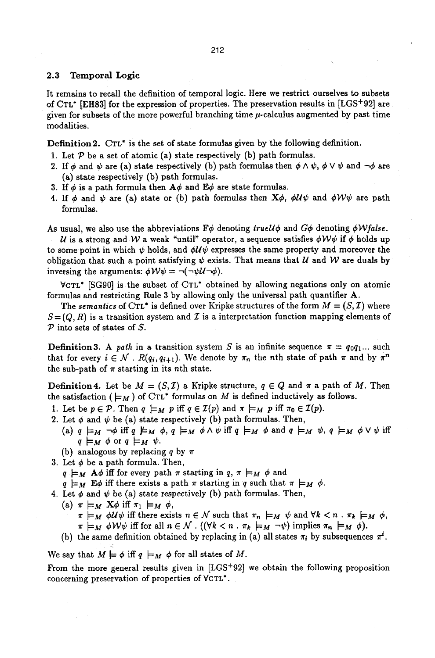### 2.3 Temporal Logic

It remains to recall the definition of temporal logic. Here we restrict ourselves to subsets of CTL\* [EH83] for the expression of properties. The preservation results in  $[LGS + 92]$  are given for subsets of the more powerful branching time  $\mu$ -calculus augmented by past time modalities.

Definition2. CTL\* is the set of state formulas given by the following definition.

- 1. Let  $P$  be a set of atomic (a) state respectively (b) path formulas.
- 2. If  $\phi$  and  $\psi$  are (a) state respectively (b) path formulas then  $\phi \wedge \psi$ ,  $\phi \vee \psi$  and  $\neg \phi$  are (a) state respectively (b) path formulas.
- 3. If  $\phi$  is a path formula then  $A\phi$  and  $E\phi$  are state formulas.
- 4. If  $\phi$  and  $\psi$  are (a) state or (b) path formulas then  $X\phi$ ,  $\phi\mathcal{U}\psi$  and  $\phi\mathcal{W}\psi$  are path formulas.

As usual, we also use the abbreviations  $\mathbf{F}\phi$  denoting *trueU* $\phi$  and  $G\phi$  denoting  $\phi W false$ .

*U* is a strong and *W* a weak "until" operator, a sequence satisfies  $\phi W\psi$  if  $\phi$  holds up to some point in which  $\psi$  holds, and  $\phi \mathcal{U} \psi$  expresses the same property and moreover the obligation that such a point satisfying  $\psi$  exists. That means that U and W are duals by inversing the arguments:  $\phi \mathcal{W} \psi = \neg(\neg \psi \mathcal{U} \neg \phi)$ .

VCTL\* [SG90] is the subset of CTL\* obtained by allowing negations only on atomic formulas and restricting Rule 3 by allowing only the universal path quantifier A.

The *semantics* of CTL<sup>\*</sup> is defined over Kripke structures of the form  $M = (S, \mathcal{I})$  where  $S = (Q, R)$  is a transition system and T is a interpretation function mapping elements of  $\mathcal P$  into sets of states of  $S$ .

**Definition 3.** A *path* in a transition system S is an infinite sequence  $\pi = q_0q_1...$  such that for every  $i \in \mathcal{N}$ .  $R(q_i, q_{i+1})$ . We denote by  $\pi_n$  the nth state of path  $\pi$  and by  $\pi^n$ the sub-path of  $\pi$  starting in its nth state.

**Definition 4.** Let be  $M = (S, \mathcal{I})$  a Kripke structure,  $q \in Q$  and  $\pi$  a path of M. Then the satisfaction ( $\models_M$ ) of CTL<sup>\*</sup> formulas on M is defined inductively as follows.

- 1. Let be  $p \in \mathcal{P}$ . Then  $q \models_M p$  iff  $q \in \mathcal{I}(p)$  and  $\pi \models_M p$  iff  $\pi_0 \in \mathcal{I}(p)$ .
- 2. Let  $\phi$  and  $\psi$  be (a) state respectively (b) path formulas. Then,
	- (a)  $q \models_M \neg \phi$  iff  $q \not\models_M \phi, q \models_M \phi \land \psi$  iff  $q \models_M \phi$  and  $q \models_M \psi, q \models_M \phi \lor \psi$  iff  $q \models_M \phi$  or  $q \models_M \psi$ .
	- (b) analogous by replacing q by  $\pi$
- 3. Let  $\phi$  be a path formula. Then,

 $q \models_M \mathbf{A}\phi$  iff for every path  $\pi$  starting in  $q, \pi \models_M \phi$  and

 $q \models_M \mathbb{E}\phi$  iff there exists a path  $\pi$  starting in q such that  $\pi \models_M \phi$ .

- 4. Let  $\phi$  and  $\psi$  be (a) state respectively (b) path formulas. Then,
	- (a)  $\pi \models_M X\phi$  iff  $\pi_1 \models_M \phi$ ,

 $\pi \models_M \phi \mathcal{U} \psi$  iff there exists  $n \in \mathcal{N}$  such that  $\pi_n \models_M \psi$  and  $\forall k < n \cdot \pi_k \models_M \phi$ ,  $\pi \models_M \phi \mathcal{W} \psi$  iff for all  $n \in \mathcal{N}$ .  $((\forall k < n \cdot \pi_k \models_M \neg \psi)$  implies  $\pi_n \models_M \phi)$ .

(b) the same definition obtained by replacing in (a) all states  $\pi_i$  by subsequences  $\pi^i$ .

We say that  $M \models \phi$  iff  $q \models_M \phi$  for all states of M.

From the more general results given in [LGS+92] we obtain the following proposition concerning preservation of properties of VCTL\*.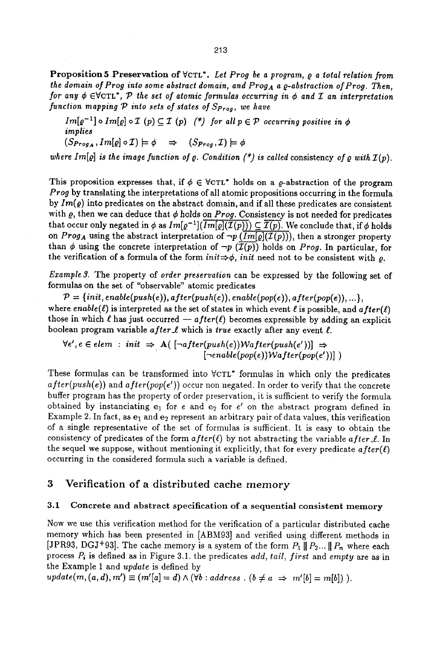Proposition 5 Preservation of  $\forall$ CTL<sup>\*</sup>. Let *Prog be a program,*  $\rho$  *a total relation from the domain of Prog into some abstract domain, and Prog<sub>A</sub> a g-abstraction of Prog. Then, for any*  $\phi \in \forall$ *CTL*<sup>\*</sup>, P *the set of atomic formulas occurring in*  $\phi$  *and I an interpretation function mapping P into sets of states of*  $S_{Prog}$ *, we have* 

 $Im[\varrho^{-1}] \circ Im[\varrho] \circ \mathcal{I} (p) \subseteq \mathcal{I} (p)$  (\*) for all  $p \in \mathcal{P}$  occurring positive in  $\phi$ *implies* 

 $(S_{Prog_A},Im[\varrho]\circ\mathcal{I})\models\phi\Rightarrow (S_{Prog},\mathcal{I})\models\phi$ 

*where Im[g] is the image function of*  $\rho$ *. Condition (\*) is called consistency of*  $\rho$  *with*  $\mathcal{I}(p)$ .

This proposition expresses that, if  $\phi \in \forall$ CTL<sup>\*</sup> holds on a *g*-abstraction of the program *Prog* by translating the interpretations of all atomic propositions occurring in the formula by  $Im(\rho)$  into predicates on the abstract domain, and if all these predicates are consistent with  $\varrho$ , then we can deduce that  $\phi$  holds on *Prog.* Consistency is not needed for predicates that occur only negated in  $\phi$  as  $Im[\varrho^{-1}](\overline{Im[\varrho](\mathcal{I}(p))}) \subseteq \overline{\mathcal{I}(p)}$ . We conclude that, if  $\phi$  holds on *Prog<sub>A</sub>* using the abstract interpretation of  $\neg p$  ( $\overline{Im[\varrho](\mathcal{I}(p))}$ ), then a stronger property than  $\phi$  using the concrete interpretation of  $\neg p$  ( $\overline{\mathcal{I}(p)}$ ) holds on *Prog.* In particular, for the verification of a formula of the form  $init \Rightarrow \phi$ , *init* need not to be consistent with  $\rho$ .

*Example 3.* The property of *order preservation* can be expressed by the following set of formulas on the set of "observable" atomic predicates

 $P = \{ init, enable(push(e)), after(push(e)), enable(pop(e)), after(pop(e)), \ldots \},$ where  $\text{enable}(\ell)$  is interpreted as the set of states in which event  $\ell$  is possible, and  $after(\ell)$ those in which  $\ell$  has just occurred  $-$  *after*( $\ell$ ) becomes expressible by adding an explicit boolean program variable *after*  $\ell$  which is *true* exactly after any event  $\ell$ .

 $\forall e', e \in elem : init \Rightarrow A(\ [-after(push(e))Wafter(push(e'))]$  $[ \neg \text{enable}(pop(e))Wafter(pop(e'))]$ )

These formulas can be transformed into VCTL" formulas in which only the predicates  $after(push(e))$  and  $after(pop(e'))$  occur non negated. In order to verify that the concrete buffer program has the property of order preservation, it is sufficient to verify the formula obtained by instanciating  $e_1$  for e and  $e_2$  for e' on the abstract program defined in Example 2. In fact, as  $e_1$  and  $e_2$  represent an arbitrary pair of data values, this verification of a single representative of the set of formulas is sufficient. It is easy to obtain the consistency of predicates of the form  $after(\ell)$  by not abstracting the variable *after L*. In the sequel we suppose, without mentioning it explicitly, that for every predicate *after(g)*  occurring in the considered formula such a variable is defined.

# 3 Verification of a distributed cache memory

### 3.1 Concrete and abstract specification of a sequential consistent memory

Now we use this verification method for the verification of a particular distributed cache memory which has been presented in [ABM93] and verified using different methods in [JPR93, DGJ+93]. The cache memory is a system of the form  $P_1 \parallel P_2 \dots \parallel P_n$  where each process Pi is defined as in Figure 3.1. the predicates *add, tail, first* and *empty* are as in the Example 1 and *update* is defined by

 $update(m, (a, d), m') \equiv (m'[a] = d) \wedge (\forall b : address. (b \neq a \Rightarrow m'[b] = m[b]))$ .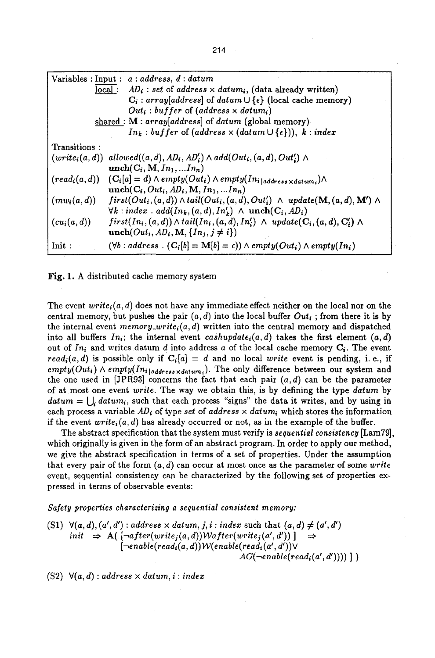|                                                      | Variables : Input : $a:address, d: datum$                                                                                   |  |  |  |
|------------------------------------------------------|-----------------------------------------------------------------------------------------------------------------------------|--|--|--|
|                                                      | $\overline{\text{local}}$ : AD <sub>i</sub> : set of address x datum <sub>i</sub> , (data already written)                  |  |  |  |
|                                                      | $C_i$ : array[address] of datum $\cup \{\epsilon\}$ (local cache memory)                                                    |  |  |  |
|                                                      | $Out_i: buffer \ of (address \times datum_i)$                                                                               |  |  |  |
| $shared: M: array[address]$ of datum (global memory) |                                                                                                                             |  |  |  |
|                                                      | $In_k: buffer \text{ of } (address \times (datum \cup \{\epsilon\})), k: index$                                             |  |  |  |
| Transitions:                                         |                                                                                                                             |  |  |  |
|                                                      | $(write_i(a, d))$ allowed $((a, d), AD_i, AD'_i) \wedge add(Out_i, (a, d), Out'_i) \wedge$                                  |  |  |  |
|                                                      | $unch(C_i, M, In_1, \ldots In_n)$                                                                                           |  |  |  |
|                                                      | $(\text{read}_i(a, d))$ $(C_i[a] = d) \wedge \text{empty}(Out_i) \wedge \text{empty}(In_{i address \times datum_i}) \wedge$ |  |  |  |
|                                                      | $unch(C_i, Out_i, AD_i, M, In_1,  In_n)$                                                                                    |  |  |  |
| $(mw_i(a,d))$                                        | $first(Out_i, (a, d)) \wedge tail(Out_i, (a, d), Out'_i) \wedge update(M, (a, d), M') \wedge$                               |  |  |  |
|                                                      | $\forall k : index \cdot add(In_k, (a, d), In'_k) \wedge \text{unch}(C_i, AD_i)$                                            |  |  |  |
| $(cu_i(a,d))$                                        | $first(In_i, (a, d)) \wedge tail(In_i, (a, d), In'_i) \wedge update(C_i, (a, d), C'_i) \wedge$                              |  |  |  |
|                                                      | $unch(Out_i, AD_i, M, \{In_j, j \neq i\})$                                                                                  |  |  |  |
| Init:                                                | $(\forall b: address \ . \ (C_i[b] = M[b] = \epsilon)) \land empty(Out_i) \land empty(In_i)$                                |  |  |  |

Fig. 1. A distributed cache memory system

The event  $write_i(a, d)$  does not have any immediate effect neither on the local nor on the central memory, but pushes the pair  $(a, d)$  into the local buffer  $Out_i$ ; from there it is by the internal event *memory\_write<sub>i</sub>*( $a$ , $d$ ) written into the central memory and dispatched into all buffers  $In_i$ ; the internal event *cashupdate*<sub>i</sub> $(a, d)$  takes the first element  $(a, d)$ out of  $In_i$  and writes datum d into address a of the local cache memory  $C_i$ . The event *read<sub>i</sub>*( $a, d$ ) is possible only if  $C_i[a] = d$  and no local *write* event is pending, i.e., if  $empty(Out_i) \wedge empty(In_{i|address \times datum_i})$ . The only difference between our system and the one used in [JPR93] concerns the fact that each pair  $(a, d)$  can be the parameter of at most one event *write.* The way we obtain this, is by defining the type *datum* by  $datum = \iint_{\mathcal{L}} datum_i$ , such that each process "signs" the data it writes, and by using in each process a variable  $AD_i$  of type *set* of *address*  $\times$  *datum<sub>i</sub>* which stores the information if the event  $write_i(a, d)$  has already occurred or not, as in the example of the buffer.

The abstract specification that the system must verify is *sequential consistency* [Lam79], which originally is given in the form of an abstract program. In order to apply our method, we give the abstract specification in terms of a set of properties. Under the assumption that every pair of the form (a, d) can occur at most once as the parameter of some *write*  event, sequential consistency can be characterized by the following set of properties expressed in terms of observable events:

*Safety properties characterizing a sequential consistent memory:* 

$$
(S1) \forall (a,d), (a',d') : address \times datum, j, i : index \text{ such that } (a,d) \neq (a',d')init \Rightarrow A(\neg after(write_j(a,d))Wafter(write_j(a',d'))) \Rightarrow [\neg enable(read_i(a,d))W(enable(read_i(a',d')) \vee AG(\neg enable(read_i(a',d')))] )
$$

(S2) V(a, d) : *address x datum, i : index*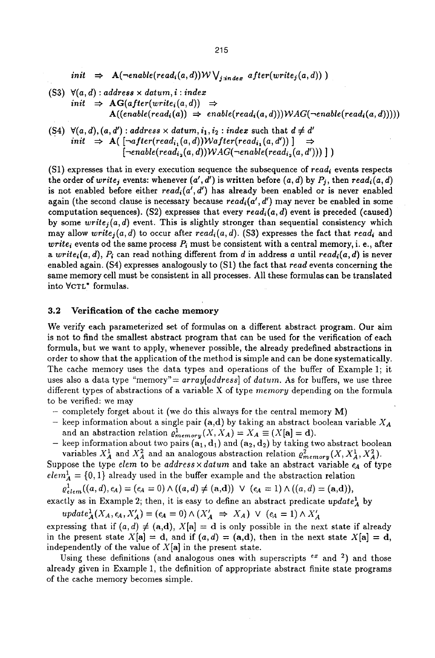$init$   $\Rightarrow$  A( $\neg enable(read_i(a,d))\mathcal{W}\bigvee_{j:index} after(write_j(a,d))$ )

(S3) 
$$
\forall (a, d) : address \times datum, i : index
$$
  
\n $init \Rightarrow AG(after(write_i(a, d)) \Rightarrow$   
\n $A((enable(read_i(a)) \Rightarrow enable(read_i(a, d)))WAG(\neg enable(read_i(a, d))))$ 

$$
(S4) \forall (a, d), (a, d') : address \times datum, i_1, i_2 : index \text{ such that } d \neq d'
$$
  
init  $\Rightarrow A \{ [\neg after(read_{i_1}(a, d)) \text{Wafter}(read_{i_1}(a, d'))] \} \Rightarrow$   

$$
[\neg enable(read_{i_2}(a, d)) \text{WAG}(\neg enable(read_{i_2}(a, d')))] )
$$

(S1) expresses that in every execution sequence the subsequence of *read<sub>i</sub>* events respects the order of *write<sub>j</sub>* events: whenever  $(a', d')$  is written before  $(a, d)$  by  $P_j$ , then  $read_i(a, d)$ is not enabled before either  $read_i(a', d')$  has already been enabled or is never enabled again (the second clause is necessary because  $read_i(a', d')$  may never be enabled in some computation sequences). ( $S2$ ) expresses that every  $read_i(a, d)$  event is preceded (caused) by some *write<sub>i</sub>*( $a, d$ ) event. This is slightly stronger than sequential consistency which may allow *write<sub>i</sub>*(*a, d*) to occur after  $read_i(a, d)$ . (S3) expresses the fact that  $read_i$  and  $write_i$  events od the same process  $P_i$  must be consistent with a central memory, i. e., after *a writei(a, d), Pi* can read nothing different from d in address a until *readi(a, d)* is never enabled again. (\$4) expresses analogously to (S1) the fact that *read* events concerning the same memory cell must be consistent in all processes. All these formulas can be translated into VCTL\* formulas.

### **3.2 Verification of** the cache **memory**

We verify each parameterized set of formulas on a different abstract program. Our aim is not to find the smallest abstract program that can be used for the verification of each formula, but we want to apply, whenever possible, the already predefined abstractions in order to show that the application of the method is simple and can be done systematically. The cache memory uses the data types and operations of the buffer of Example 1; it uses also a data type "memory"= *array[address]* of *datum.* As for buffers, we use three different types of abstractions of a variable X of type *memory* depending on the formula to be verified: we may

- completely forget about it (we do this always for the central memory  $M$ )
- keep information about a single pair  $(a,d)$  by taking an abstract boolean variable  $X_A$ and an abstraction relation  $\varrho_{memory}^1(X, X_A) = X_A \equiv (X[\mathbf{a}] = \mathbf{d}).$
- keep information about two pairs  $(a_1, d_1)$  and  $(a_2, d_2)$  by taking two abstract boolean variables  $X_A^1$  and  $X_A^2$  and an analogous abstraction relation  $\varrho_{memory}^2(X, X_A^1, X_A^2)$ .

Suppose the type *elem* to be *address*  $\times$  *datum* and take an abstract variable  $e_A$  of type  $elem_A^1 = \{0,1\}$  already used in the buffer example and the abstraction relation

 $Q_{elem}^1((a,d),e_A)=(e_A = 0) \wedge ((a,d) \neq (a,d)) \vee (e_A = 1) \wedge ((a,d) = (a,d)),$ 

exactly as in Example 2; then, it is easy to define an abstract predicate  $update_A^1$  by

 $update_A^1(X_A, e_A, X'_A) = (e_A = 0) \wedge (X'_A \Rightarrow X_A) \vee (e_A = 1) \wedge X'_A$ expressing that if  $(a, d) \neq (a,d)$ ,  $X[a] = d$  is only possible in the next state if already in the present state  $X[\mathbf{a}] = \mathbf{d}$ , and if  $(a, d) = (\mathbf{a}, \mathbf{d})$ , then in the next state  $X[\mathbf{a}] = \mathbf{d}$ , independently of the value of  $X[\mathbf{a}]$  in the present state.

Using these definitions (and analogous ones with superscripts  $e^x$  and  $2$ ) and those already given in Example 1, the definition of appropriate abstract finite state programs of the cache memory becomes simple.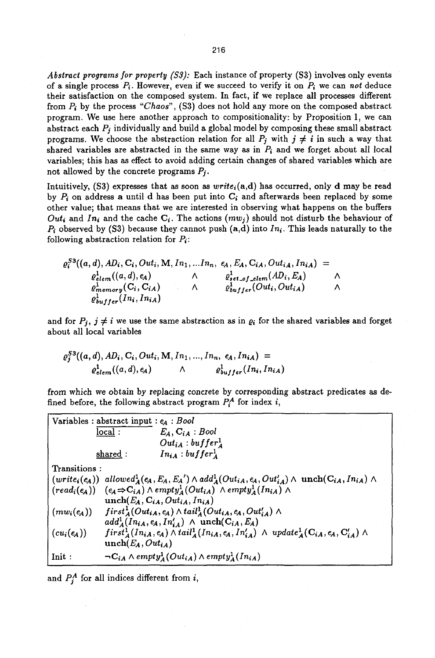*Abstract programs for property (\$3):* Each instance of property (\$3) involves only events of a single process *Pi.* However, even if we succeed to verify it on *Pi* we can *not* deduce their satisfaction on the composed system. In fact, if we replace all processes different from *Pi* by the process *"Chaos",* (\$3) does not hold any more on the composed abstract program. We use here another approach to compositionality: by Proposition 1, we can abstract each *Pj* individually and build a global model by composing these small abstract programs. We choose the abstraction relation for all  $P_i$  with  $j \neq i$  in such a way that shared variables are abstracted in the same way as in  $P_i$  and we forget about all local variables; this has as effect to avoid adding certain changes of shared variables which are not allowed by the concrete programs  $P_i$ .

Intuitively,  $(S3)$  expresses that as soon as *write<sub>i</sub>*(a,d) has occurred, only d may be read by *Pi* on address a until d has been put into *Ci* and afterwards been replaced by some other value; that means that we are interested in observing what happens on the buffers *Outi* and *In<sub>i</sub>* and the cache  $C_i$ . The actions  $(mw_i)$  should not disturb the behaviour of  $P_i$  observed by (S3) because they cannot push  $(a,d)$  into  $In_i$ . This leads naturally to the following abstraction relation for *Pi:* 

$$
\varrho_i^{S3}((a,d), AD_i, C_i, Out_i, M, In_1, ... In_n, e_A, E_A, C_{iA}, Out_{iA}, In_iA) =
$$
\n
$$
\varrho_{elem}^{1}(a,d), e_A) \qquad \wedge \qquad \varrho_{set\_of\_elem}^{1}(AD_i, E_A) \qquad \wedge
$$
\n
$$
\varrho_{memory}^{1}(C_i, C_{iA}) \qquad \wedge \qquad \varrho_{buffer}^{1}(Out_i, Out_{iA}) \qquad \wedge
$$
\n
$$
\varrho_{buffer}^{1}(In_i, In_iA)
$$

and for  $P_j$ ,  $j \neq i$  we use the same abstraction as in  $\varrho_i$  for the shared variables and forget about all local variables

$$
\varrho_j^{S3}((a,d), AD_i, C_i, Out_i, M, In_1, ..., In_n, e_A, In_{iA}) =
$$
  

$$
\varrho_{elem}^{1}((a,d), e_A) \qquad \wedge \qquad \varrho_{buffer}^{1}(In_i, In_{iA})
$$

from which we obtain by replacing concrete by corresponding abstract predicates as defined before, the following abstract program  $P_i^A$  for index i,

| Variables : abstract input : e <sub>A</sub> : Bool |                       |                                                                                                                                     |  |
|----------------------------------------------------|-----------------------|-------------------------------------------------------------------------------------------------------------------------------------|--|
|                                                    | local:                | $E_A, C_{iA}$ : Bool                                                                                                                |  |
|                                                    |                       | $Out_{iA}: buffer_A^1$                                                                                                              |  |
|                                                    | shared:               | $In_{iA}: buffer_A^1$                                                                                                               |  |
| Transitions:                                       |                       |                                                                                                                                     |  |
|                                                    |                       | $(write_i(e_A))$ allowed $^1_A(e_A, E_A, E_A') \wedge add_A^1(Out_{iA}, e_A, Out_{iA}') \wedge \text{unch}(C_{iA}, In_{iA}) \wedge$ |  |
|                                                    |                       | $(read_i(e_A))$ $(e_A \Rightarrow C_{iA}) \wedge empty^1_A(Out_{iA}) \wedge empty^1_A(In_{iA}) \wedge$                              |  |
|                                                    |                       | $unch(E_A, C_{iA}, Out_{iA}, In_{iA})$                                                                                              |  |
| $(mw_i(e_A))$                                      |                       | $first_A^1(Out_{iA}, e_A) \wedge tail_A^1(Out_{iA}, e_A, Out_{iA}') \wedge$                                                         |  |
|                                                    |                       | $add_A^1(In_{iA}, e_A, In'_{iA}) \wedge \text{unch}(C_{iA}, E_A)$                                                                   |  |
| $(cu_i(e_A))$                                      |                       | $first_A^1(In_{iA}, e_A) \wedge tail_A^1(In_{iA}, e_A, In'_{iA}) \wedge update_A^1(C_{iA}, e_A, C'_{iA}) \wedge$                    |  |
|                                                    | $unch(E_A, Out_{iA})$ |                                                                                                                                     |  |
| Init:                                              |                       | $\neg C_{iA} \wedge empty_A^1(Out_{iA}) \wedge empty_A^1(In_{iA})$                                                                  |  |

and  $P_i^A$  for all indices different from i,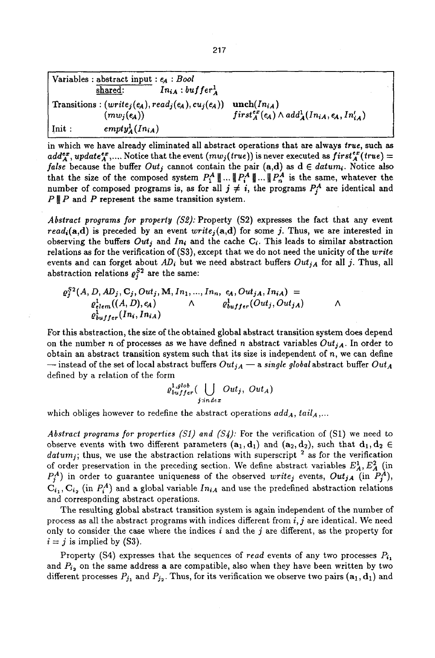Variables: abstract input: 
$$
e_A : Bool
$$
  
\n
$$
\frac{\text{shared:}}{\text{shared:}} \quad In_{iA} : buffer_A^1
$$
\nTransitions:  $(write_j(e_A), read_j(e_A), cu_j(e_A))$   $unch(In_{iA})$   
\n $(mw_j(e_A))$   $first_A^{ex}(e_A) \land add_A(In_{iA}, e_A, In'_{iA})$   
\nInit:  $empty_A^1(In_{iA})$ 

m which we have already eliminated all abstract operations that are always *true,* such as  $add_A^{ex}$ , update<sup>ex</sup>,.... Notice that the event  $(mw_j(true))$  is never executed as  $first_A^{ex}(true)$  = *false* because the buffer  $Out_j$  cannot contain the pair  $(a,d)$  as  $d \in datum_i$ . Notice also that the size of the composed system  $P_1^A \parallel ... \parallel P_i^A \parallel ... \parallel P_n^A$  is the same, whatever the number of composed programs is, as for all  $j \neq i$ , the programs  $P_i^A$  are identical and  $P \parallel P$  and P represent the same transition system.

*Abstract programs for property (\$2):* Property (\$2) expresses the fact that any event read<sub>i</sub>(a,d) is preceded by an event *write*  $_i$ (a,d) for some j. Thus, we are interested in observing the buffers  $Out_i$  and  $In_i$  and the cache  $C_i$ . This leads to similar abstraction relations as for the verification of (\$3), except that we do not need the unicity of the *write*  events and can forget about  $AD_i$  but we need abstract buffers  $Out_{iA}$  for all j. Thus, all abstraction relations  $\rho_i^{S2}$  are the same:

$$
\varrho_j^{S2}(A, D, AD_j, C_j, Out_j, M, In_1, ..., In_n, e_A, Out_{jA}, In_{iA}) =
$$
  
\n
$$
\varrho_{elem}^1((A, D), e_A) \qquad \wedge \qquad \varrho_{buffer}^1(Out_j, Out_{jA}) \qquad \wedge
$$
  
\n
$$
\varrho_{buffer}^1(In_i, In_{iA})
$$

For this abstraction, the size of the obtained global abstrazt transition system does depend on the number n of processes as we have defined n abstract variables  $Out<sub>1</sub>A$ . In order to obtain an abstract transition system such that its size is independent of  $n$ , we can define  $-$  instead of the set of local abstract buffers  $Out_{jA}$  -- a *single global* abstract buffer  $Out_A$ defined by a relation of the form

$$
\varrho_{buffer}^{1,glob}(\bigcup_{j: index} Out_j, Out_A)
$$

which obliges however to redefine the abstract operations  $\text{add}_A$ ,  $\text{tail}_A$ ,...

*Abstract programs for properties (\$1) and (\$4):* For the verification of (S1) we need to observe events with two different parameters  $(a_1, d_1)$  and  $(a_2, d_2)$ , such that  $d_1, d_2 \in$  $datum_i$ ; thus, we use the abstraction relations with superscript  $^2$  as for the verification of order preservation in the preceding section. We define abstract variables  $E_A^1, E_A^2$  (in  $P_j^A$ ) in order to guarantee uniqueness of the observed *write<sub>j</sub>* events, *OutjA* (in  $P_j^A$ ),  $C_{i_1}, C_{i_2}$  (in  $P_i^A$ ) and a global variable  $In_{iA}$  and use the predefined abstraction relations and corresponding abstract operations.

The resulting global abstract transition system is again independent of the number of process as all the abstract programs with indices different from  $i, j$  are identical. We need only to consider the case where the indices  $i$  and the  $j$  are different, as the property for  $i = j$  is implied by (S3).

Property ( $S4$ ) expresses that the sequences of *read* events of any two processes  $P_{i}$ , and  $P_{i_2}$  on the same address a are compatible, also when they have been written by two different processes  $P_{j_1}$  and  $P_{j_2}$ . Thus, for its verification we observe two pairs  $(a_1, d_1)$  and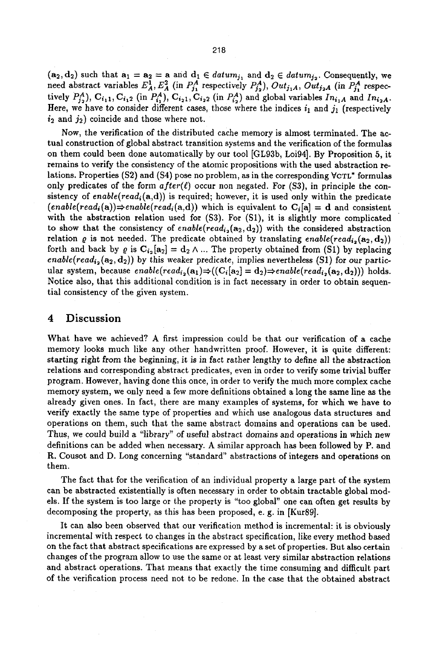$(a_2, d_2)$  such that  $a_1 = a_2 = a$  and  $d_1 \in datum_{j_1}$  and  $d_2 \in datum_{j_2}$ . Consequently, we need abstract variables  $E_A^1$ ,  $E_A^2$  (in  $P_{j_1}^A$  respectively  $P_{j_2}^A$ ),  $Out_{j_1A}$ ,  $Out_{j_2A}$  (in  $P_{j_1}^A$  respectively  $P_{j_2}^A$ ),  $C_{i_1 1}$ ,  $C_{i_1 2}$  (in  $P_{i_1}^A$ ),  $C_{i_2 1}$ ,  $C_{i_2 2}$  (in  $P_{i_2}^A$ ) and global variables  $In_{i_1A}$  and  $In_{i_2A}$ . Here, we have to consider different cases, those where the indices  $i_1$  and  $j_1$  (respectively  $i_2$  and  $j_2$ ) coincide and those where not.

Now, the verification of the distributed cache memory is almost terminated. The actual construction of global abstract transition systems and the verification of the formulas on them could been done automatically by our tool [GL93b, Loi94]. By Proposition 5, it remains to verify the consistency of the atomic propositions with the used abstraction relations. Properties (S2) and (S4) pose no problem, as in the corresponding VCTL\* formulas only predicates of the form  $after(\ell)$  occur non negated. For (S3), in principle the consistency of  $enable( $read_i(a,d)$ )$  is required; however, it is used only within the predicate  $(enable(read_i(a)) \Rightarrow enable(read_i(a,d))$  which is equivalent to  $C_i[a] = d$  and consistent with the abstraction relation used for (S3). For (S1), it is slightly more complicated to show that the consistency of  $\text{enable}(\text{read}_{i_2}(a_2, d_2))$  with the considered abstraction relation  $\rho$  is not needed. The predicate obtained by translating *enable(read<sub>i2</sub>(a<sub>2</sub>,d<sub>2</sub>))* forth and back by  $\varrho$  is  $C_{i_2}[a_2] = d_2 \wedge ...$  The property obtained from (S1) by replacing *enable(read<sub>i2</sub>(a<sub>2</sub>, d<sub>2</sub>)) by this weaker predicate, implies nevertheless (S1) for our partic*ular system, because *enable(read<sub>i2</sub>(a<sub>1</sub>)* $\Rightarrow$ /( $C_i[a_2] = d_2$ ) $\Rightarrow$ *enable(read<sub>i2</sub>(a<sub>2</sub>,d<sub>2</sub>)))* holds. Notice also, that this additional condition is in fact necessary in order to obtain sequential consistency of the given system.

### 4 Discussion

What have we achieved? A first impression could be that our verification of a cache memory looks much like any other handwritten proof. However, it is quite different: starting right from the beginning, it is in fact rather lengthy to define all the abstraction relations and corresponding abstract predicates, even in order to verify some trivial buffer program. However, having done this once, in order to verify the much more complex cache memory system, we only need a few more definitions obtained a long the same line as the already given ones. In fact, there are many examples of systems, for which we have to verify exactly the same type of properties and which use analogous data structures and operations on them, such that the same abstract domains and operations can be used. Thus, we could build a "library" of useful abstract domains and operations in which new definitions can be added when necessary. A similar approach has been followed by P. and R. Cousot and D. Long concerning "standard" abstractions of integers and operations on them.

The fact that for the verification of an individual property a large part of the system can be abstracted existentially is often necessary in order to obtain tractable global models. If the system is too large or the property is "too global" one can often get results by decomposing the property, as this has been proposed, e. g. in [Kur89].

It can also been observed that our verification method is incremental: it is obviously incremental with respect to changes in the abstract specification, like every method based on the fact that abstract specifications are expressed by a set of properties. But also certain changes of the program allow to use the same or at least very similar abstraction relations and abstract operations. That means that exactly the time consuming and difficult part of the verification process need not to be redone. In the case that the obtained abstract